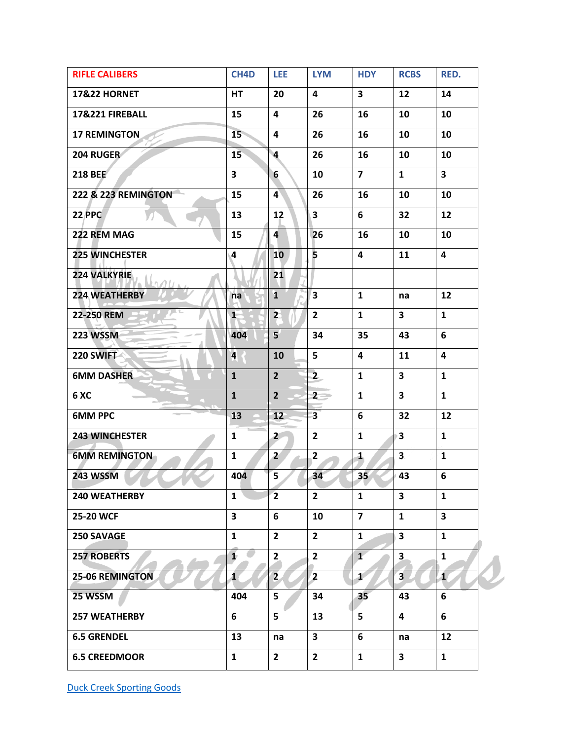| <b>RIFLE CALIBERS</b>          | CH <sub>4</sub> D       | <b>LEE</b>              | <b>LYM</b>              | <b>HDY</b>              | <b>RCBS</b>             | RED.                    |  |
|--------------------------------|-------------------------|-------------------------|-------------------------|-------------------------|-------------------------|-------------------------|--|
| <b>17&amp;22 HORNET</b>        | <b>HT</b>               | 20                      | $\overline{\mathbf{4}}$ | $\overline{\mathbf{3}}$ | 12                      | 14                      |  |
| 17&221 FIREBALL                | 15                      | $\overline{\mathbf{4}}$ | 26                      | 16                      | 10                      | 10                      |  |
| <b>17 REMINGTON</b>            | 15                      | $\overline{\mathbf{4}}$ | 26                      | 16                      | 10                      | 10                      |  |
| 204 RUGER                      | 15 <sup>2</sup>         | $\overline{\mathbf{4}}$ | 26                      | 16                      | 10                      | 10                      |  |
| <b>218 BEE</b>                 | 3                       | 6                       | 10                      | $\overline{7}$          | $\mathbf{1}$            | $\overline{\mathbf{3}}$ |  |
| <b>222 &amp; 223 REMINGTON</b> | 15                      | $\overline{4}$          | 26                      | 16                      | 10                      | 10                      |  |
| 22 PPC                         | 13                      | 12                      | $\overline{\mathbf{3}}$ | 6                       | 32                      | 12                      |  |
| 222 REM MAG                    | 15                      | $\overline{\mathbf{4}}$ | 26                      | 16                      | 10                      | 10                      |  |
| <b>225 WINCHESTER</b>          | 4                       | 10                      | 5                       | $\overline{\mathbf{4}}$ | 11                      | $\overline{\mathbf{4}}$ |  |
| <b>224 VALKYRIE</b>            |                         | 21                      |                         |                         |                         |                         |  |
| <b>224 WEATHERBY</b>           | na                      | $\mathbf{1}$            | $\overline{\mathbf{3}}$ | $\mathbf{1}$            | na                      | 12                      |  |
| 22-250 REM                     | 1                       | $2^{\circ}$             | $\overline{2}$          | $\mathbf{1}$            | $\overline{\mathbf{3}}$ | $\mathbf{1}$            |  |
| 223 WSSM                       | 404                     | 5 <sup>1</sup>          | 34                      | 35                      | 43                      | 6                       |  |
| 220 SWIFT                      | $\overline{\mathbf{4}}$ | 10                      | 5                       | $\overline{\mathbf{4}}$ | 11                      | $\overline{\mathbf{4}}$ |  |
| <b>6MM DASHER</b>              | $\mathbf{1}$            | 2 <sup>1</sup>          | $\overline{2}$          | $\mathbf{1}$            | $\overline{\mathbf{3}}$ | $\mathbf{1}$            |  |
| 6 XC                           | $\mathbf{1}$            | 2 <sup>1</sup>          | $2 -$                   | $\mathbf{1}$            | $\overline{\mathbf{3}}$ | $\mathbf{1}$            |  |
| <b>6MM PPC</b>                 | 13                      | 12                      | 3                       | 6                       | 32                      | 12                      |  |
| <b>243 WINCHESTER</b>          | $\mathbf{1}$            | $\overline{2}$          | $\overline{2}$          | $\mathbf{1}$            | $\overline{\mathbf{3}}$ | $\mathbf{1}$            |  |
| <b>6MM REMINGTON</b>           | $\mathbf{1}$            | $\mathbf{2}$            | $\overline{2}$          | $\blacktriangle$        | $\mathbf{3}$            | $\mathbf{1}$            |  |
| <b>243 WSSM</b>                | 404                     | 5                       | 34                      | 35 <sub>2</sub>         | 43                      | 6                       |  |
| <b>240 WEATHERBY</b>           | $\mathbf{1}$            | $\overline{2}$          | $\overline{2}$          | $\mathbf{1}$            | $\overline{\mathbf{3}}$ | $\mathbf{1}$            |  |
| <b>25-20 WCF</b>               | $\overline{\mathbf{3}}$ | $6\phantom{1}$          | 10                      | $\overline{7}$          | $\mathbf{1}$            | $\overline{\mathbf{3}}$ |  |
| <b>250 SAVAGE</b>              | $\mathbf{1}$            | $\overline{2}$          | $2^{\circ}$             | $\mathbf{1}$            | $\overline{\mathbf{3}}$ | $\mathbf{1}$            |  |
| <b>257 ROBERTS</b>             | $\overline{1}$          | $2 \overline{ }$        | $\overline{2}$          | $\mathbf{1}^{\prime}$   | $\overline{\mathbf{3}}$ | $\mathbf{1}$            |  |
| <b>25-06 REMINGTON</b>         | $\mathbf{1}$            | $\overline{2}$          | $\overline{2}$          | $\mathbf{1}^{\prime}$   | $\mathbf{3}$            | $\mathbf{1}$            |  |
| 25 WSSM                        | 404                     | 5                       | 34                      | 35                      | 43                      | 6                       |  |
| <b>257 WEATHERBY</b>           | 6                       | 5                       | 13                      | 5                       | $\overline{\mathbf{4}}$ | 6                       |  |
| <b>6.5 GRENDEL</b>             | 13                      | na                      | $\mathbf{3}$            | 6                       | na                      | 12                      |  |
| <b>6.5 CREEDMOOR</b>           | $\mathbf{1}$            | $2^{\circ}$             | $\overline{2}$          | $\mathbf{1}$            | $\overline{\mathbf{3}}$ | $\mathbf{1}$            |  |
|                                |                         |                         |                         |                         |                         |                         |  |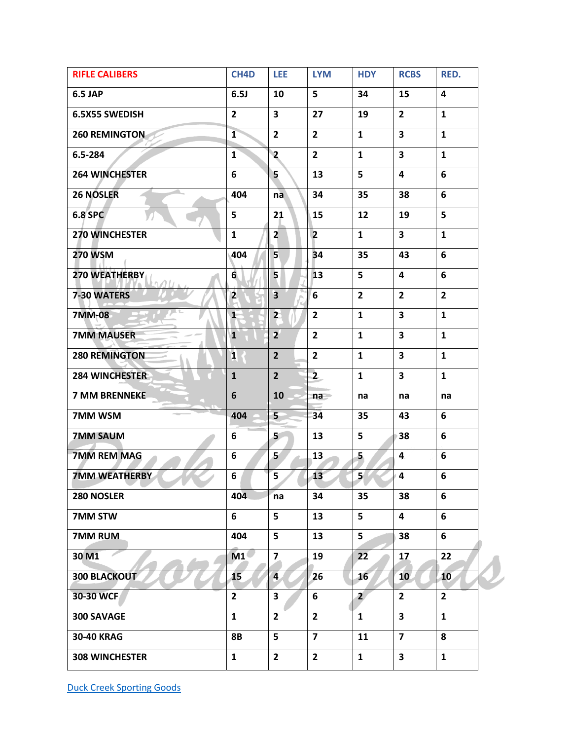| <b>RIFLE CALIBERS</b> | CH4D             | <b>LEE</b>              | <b>LYM</b>              | <b>HDY</b>              | <b>RCBS</b>             | RED.                    |  |
|-----------------------|------------------|-------------------------|-------------------------|-------------------------|-------------------------|-------------------------|--|
| <b>6.5 JAP</b>        | 6.5J             | 10                      | 5                       | 34                      | 15                      | $\overline{\mathbf{4}}$ |  |
| 6.5X55 SWEDISH        | $\overline{2}$   | $\overline{\mathbf{3}}$ | 27                      | 19                      | $\mathbf{2}$            | $\mathbf{1}$            |  |
| <b>260 REMINGTON</b>  | $\overline{1}$   | $\overline{2}$          | $\overline{2}$          | $\mathbf{1}$            | $\overline{\mathbf{3}}$ | $\mathbf{1}$            |  |
| 6.5-284               | $\mathbf{1}$     | $\overline{2}$          | $2^{\circ}$             | $\mathbf{1}$            | $\overline{\mathbf{3}}$ | $\mathbf{1}$            |  |
| <b>264 WINCHESTER</b> | 6                | 5 <sub>1</sub>          | 13                      | 5                       | $\overline{\mathbf{4}}$ | 6                       |  |
| 26 NOSLER             | 404              | na                      | 34                      | 35                      | 38                      | 6                       |  |
| <b>6.8 SPC</b>        | 5                | 21                      | 15                      | 12                      | 19                      | 5                       |  |
| <b>270 WINCHESTER</b> | $\mathbf{1}$     | $\overline{2}$          | $\overline{2}$          | $\mathbf{1}$            | $\overline{\mathbf{3}}$ | $\mathbf{1}$            |  |
| <b>270 WSM</b>        | 404              | 5                       | 34                      | 35                      | 43                      | 6                       |  |
| <b>270 WEATHERBY</b>  | $6 \overline{6}$ | 5 <sup>1</sup>          | 13                      | 5 <sup>1</sup>          | $\overline{\mathbf{4}}$ | 6                       |  |
| 7-30 WATERS           | $\overline{2}$   | $\overline{\mathbf{3}}$ | 6                       | $\mathbf{2}$            | $\overline{2}$          | $\overline{2}$          |  |
| 7MM-08                | $\mathbf{1}$     | 2                       | $\overline{2}$          | $\mathbf{1}$            | $\overline{\mathbf{3}}$ | $\mathbf{1}$            |  |
| <b>7MM MAUSER</b>     | $\mathbf{1}$     | $2^{1}$                 | $\overline{2}$          | $\mathbf{1}$            | $\overline{\mathbf{3}}$ | $\mathbf{1}$            |  |
| <b>280 REMINGTON</b>  | $\mathbf{1}$     | $2^{\circ}$             | $\overline{2}$          | $\mathbf{1}$            | 3                       | $\mathbf{1}$            |  |
| <b>284 WINCHESTER</b> | $\mathbf{1}$     | $2^{\circ}$             | 2                       | $\mathbf{1}$            | $\overline{\mathbf{3}}$ | $\mathbf{1}$            |  |
| <b>7 MM BRENNEKE</b>  | $6\phantom{1}$   | 10                      | na                      | na                      | na                      | na                      |  |
| 7MM WSM               | 404              | 5 <sub>1</sub>          | 34                      | 35                      | 43                      | 6                       |  |
| <b>7MM SAUM</b>       | 6                | 5 <sup>7</sup>          | 13                      | 5                       | 38                      | 6                       |  |
| <b>7MM REM MAG</b>    | 6                | 5 <sup>7</sup>          | 13                      | 5                       | $\overline{\mathbf{4}}$ | 6                       |  |
| <b>7MM WEATHERBY</b>  | 6                | 5                       | 13                      | $\overline{\mathbf{5}}$ | $\overline{\mathbf{4}}$ | 6                       |  |
| 280 NOSLER            | 404              | na                      | 34                      | 35                      | 38                      | 6                       |  |
| 7MM STW               | 6                | 5 <sup>1</sup>          | 13                      | 5                       | $\overline{\mathbf{4}}$ | 6                       |  |
| <b>7MM RUM</b>        | 404              | 5                       | 13                      | 5                       | 38                      | 6                       |  |
| 30 M1                 | M1               | $\overline{7}$          | 19                      | 22                      | 17                      | 22                      |  |
| <b>300 BLACKOUT</b>   | 15               | $\overline{4}$          | 26                      | 16                      | 10 <sub>2</sub>         | 10                      |  |
| 30-30 WCF             | $\overline{2}$   | $\mathbf{3}$            | 6                       | $\overline{2}$          | $\overline{2}$          | $\overline{2}$          |  |
| 300 SAVAGE            | $\mathbf{1}$     | $\mathbf{2}$            | $\overline{2}$          | $\mathbf{1}$            | $\overline{\mathbf{3}}$ | $\mathbf{1}$            |  |
| <b>30-40 KRAG</b>     | <b>8B</b>        | 5                       | $\overline{\mathbf{z}}$ | 11                      | $\overline{7}$          | 8                       |  |
| <b>308 WINCHESTER</b> | $\mathbf{1}$     | $\overline{2}$          | $\overline{2}$          | $\mathbf{1}$            | $\overline{\mathbf{3}}$ | $\mathbf{1}$            |  |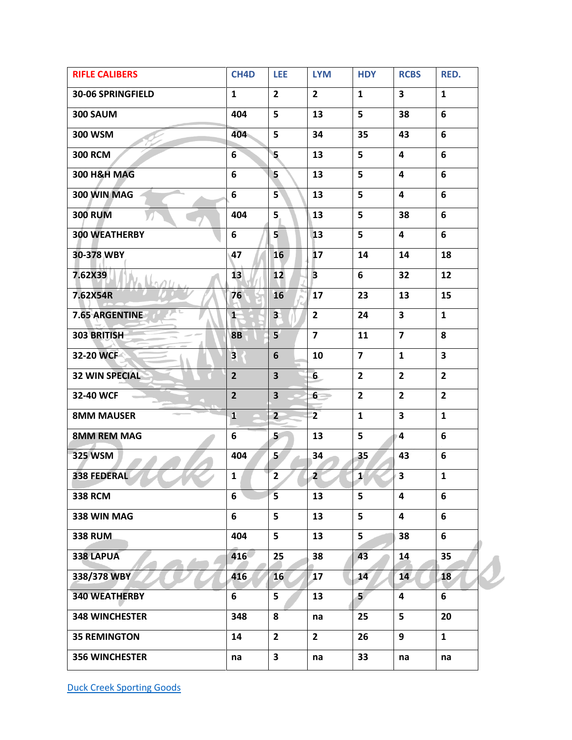| <b>RIFLE CALIBERS</b>    | CH4D                    | <b>LEE</b>              | <b>LYM</b>              | <b>HDY</b>              | <b>RCBS</b>             | RED.           |  |
|--------------------------|-------------------------|-------------------------|-------------------------|-------------------------|-------------------------|----------------|--|
| <b>30-06 SPRINGFIELD</b> | $\mathbf{1}$            | $\overline{2}$          | $2^{\circ}$             | $\mathbf{1}$            | $\overline{\mathbf{3}}$ | $\mathbf{1}$   |  |
| <b>300 SAUM</b>          | 404                     | 5                       | 13                      | 5                       | 38                      | 6              |  |
| 300 WSM                  | 404                     | 5                       | 34                      | 35                      | 43                      | 6              |  |
| <b>300 RCM</b>           | 6                       | 5                       | 13                      | 5                       | $\overline{\mathbf{4}}$ | 6              |  |
| <b>300 H&amp;H MAG</b>   | 6                       | 5                       | 13                      | 5                       | 4                       | 6              |  |
| 300 WIN MAG              | 6                       | 5 <sup>1</sup>          | 13                      | 5                       | $\overline{\mathbf{4}}$ | 6              |  |
| <b>300 RUM</b>           | 404                     | 5 <sub>z</sub>          | 13                      | 5                       | 38                      | 6              |  |
| <b>300 WEATHERBY</b>     | 6                       | 5                       | 13                      | 5                       | $\overline{\mathbf{4}}$ | 6              |  |
| 30-378 WBY               | 47                      | 16                      | 17                      | 14                      | 14                      | 18             |  |
| 7.62X39                  | 13                      | $12$                    | $\overline{\mathbf{3}}$ | 6                       | 32                      | 12             |  |
| 7.62X54R                 | 76                      | 16                      | 17                      | 23                      | 13                      | 15             |  |
| 7.65 ARGENTINE           | 1                       | 3 <sup>1</sup>          | $\mathbf{2}$            | 24                      | $\overline{\mathbf{3}}$ | $\mathbf{1}$   |  |
| 303 BRITISH              | <b>8B</b>               | 5 <sup>1</sup>          | $\overline{7}$          | 11                      | $\overline{7}$          | 8              |  |
| 32-20 WCF                | $\overline{\mathbf{3}}$ | 6                       | 10                      | $\overline{\mathbf{z}}$ | $\mathbf{1}$            | $\mathbf{3}$   |  |
| <b>32 WIN SPECIAL</b>    | $\overline{2}$          | $\overline{\mathbf{3}}$ | $6-$                    | $\overline{2}$          | $\mathbf{2}$            | $\overline{2}$ |  |
| 32-40 WCF                | $\overline{2}$          | $\mathbf{3}$            | $6 -$                   | $\overline{2}$          | $\mathbf{2}$            | $\overline{2}$ |  |
| <b>8MM MAUSER</b>        | $\mathbf 1$             | 2 <sup>1</sup>          | 2                       | $\mathbf{1}$            | $\overline{\mathbf{3}}$ | $\mathbf{1}$   |  |
| <b>8MM REM MAG</b>       | 6                       | 5 <sup>7</sup>          | 13                      | 5                       | $\overline{\mathbf{4}}$ | 6              |  |
| <b>325 WSM</b>           | 404                     | 5 <sup>′</sup>          | 34                      | 35                      | 43                      | 6              |  |
| <b>338 FEDERAL</b>       | $\mathbf{1}$            | $2^{\circ}$             | $\overline{2}$          | $\mathbf{1}$            | 3                       | $\mathbf{1}$   |  |
| <b>338 RCM</b>           | 6                       | $\overline{\mathbf{5}}$ | 13                      | 5                       | 4                       | 6              |  |
| 338 WIN MAG              | 6                       | 5                       | 13                      | 5                       | $\overline{\mathbf{4}}$ | 6              |  |
| <b>338 RUM</b>           | 404                     | 5                       | 13                      | 5                       | 38                      | 6              |  |
| 338 LAPUA                | 416                     | 25                      | 38                      | 43                      | 14                      | 35             |  |
| 338/378 WBY              | 416                     | 16                      | 17                      | 14                      | 14                      | 18             |  |
| <b>340 WEATHERBY</b>     | 6                       | 5                       | 13                      | 5 <sub>7</sub>          | 4                       | 6              |  |
| <b>348 WINCHESTER</b>    | 348                     | 8                       | na                      | 25                      | 5                       | 20             |  |
| <b>35 REMINGTON</b>      | 14                      | $\overline{2}$          | $2^{\circ}$             | 26                      | 9                       | $\mathbf{1}$   |  |
| <b>356 WINCHESTER</b>    | na                      | $\mathbf{3}$            | na                      | 33                      | na                      | na             |  |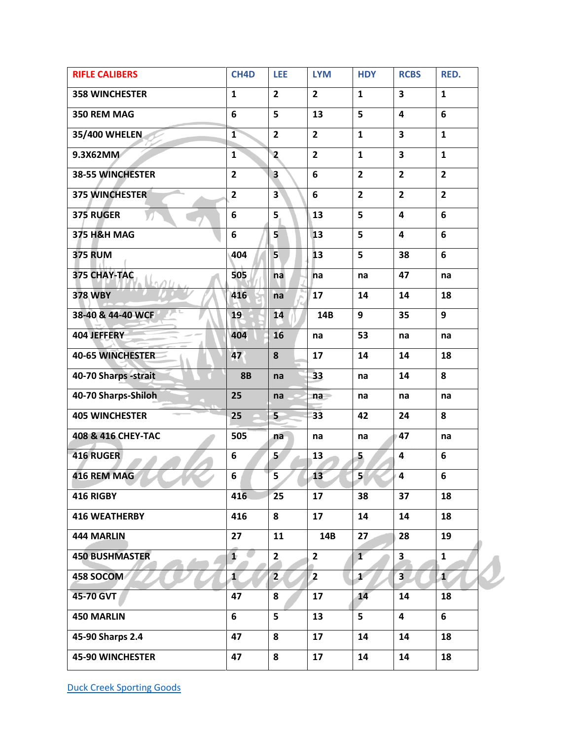| CH <sub>4</sub> D       | LEE                     | <b>LYM</b>     | <b>HDY</b>              | <b>RCBS</b>             | RED.             |  |
|-------------------------|-------------------------|----------------|-------------------------|-------------------------|------------------|--|
| $\mathbf{1}$            | $\overline{2}$          | $\overline{2}$ | $\mathbf{1}$            | $\overline{\mathbf{3}}$ | $\mathbf{1}$     |  |
| 6                       | 5                       | 13             | 5                       | 4                       | 6                |  |
| $\overline{\mathbf{1}}$ | $\overline{2}$          | $\overline{2}$ | $\mathbf{1}$            | $\overline{\mathbf{3}}$ | $\mathbf{1}$     |  |
| $\mathbf{1}$            | $\overline{\mathbf{2}}$ | $\overline{2}$ | $\mathbf{1}$            | $\overline{\mathbf{3}}$ | $\mathbf{1}$     |  |
| $\overline{2}$          | $\overline{\mathbf{3}}$ | 6              | $\overline{2}$          | $\overline{2}$          | $\overline{2}$   |  |
| $\overline{2}$          | $3^{\circ}$             | 6              | $\overline{2}$          | $\overline{2}$          | $\overline{2}$   |  |
| 6                       | 5 <sub>1</sub>          | 13             | 5                       | $\overline{\mathbf{4}}$ | 6                |  |
| 6                       | 5                       | 13             | 5                       | $\overline{\mathbf{4}}$ | 6                |  |
| 404                     | 5                       | 13             | 5                       | 38                      | 6                |  |
| 505                     | na                      | na             | na                      | 47                      | na               |  |
| 416                     | na                      | 17             | 14                      | 14                      | 18               |  |
| 19 <sup>°</sup>         | 14                      | 14B            | 9                       | 35                      | 9                |  |
| 404                     | 16                      | na             | 53                      | na                      | na               |  |
| 47                      | 8                       | 17             | 14                      | 14                      | 18               |  |
| <b>8B</b>               | na                      | 33             | na                      | 14                      | 8                |  |
| 25                      | na                      | na             | na                      | na                      | na               |  |
| 25                      | 5 <sub>1</sub>          | 33             | 42                      | 24                      | 8                |  |
| 505                     | na                      | na             | na                      | 47                      | na               |  |
| 6                       | 5 <sup>7</sup>          | 13             | 5                       | 4                       | 6                |  |
| 6                       | 5                       | 13             | $\overline{\mathbf{5}}$ | $\overline{\mathbf{4}}$ | $\boldsymbol{6}$ |  |
| 416                     | 25                      | 17             | 38                      | 37                      | 18               |  |
| 416                     | 8                       | 17             | 14                      | 14                      | 18               |  |
| 27                      | 11                      | 14B            | 27 <sub>2</sub>         | 28                      | 19               |  |
| $\overline{\mathbf{1}}$ | 2                       | $\overline{2}$ | $\mathbf{1}^{\prime}$   | $\overline{\mathbf{3}}$ | $\mathbf{1}$     |  |
| $\mathbf{1}$            | $\overline{2}$          | $\overline{2}$ | $\mathbf{1}^{\prime}$   | $\mathbf{3}$            | $\mathbf{I}$     |  |
| 47                      | 8                       | 17             | 14                      | 14                      | 18               |  |
| 6                       | 5                       | 13             | 5                       | $\overline{\mathbf{4}}$ | 6                |  |
| 47                      | 8                       | 17             | 14                      | 14                      | 18               |  |
| 47                      | 8                       | 17             | 14                      | 14                      | 18               |  |
|                         |                         |                |                         |                         |                  |  |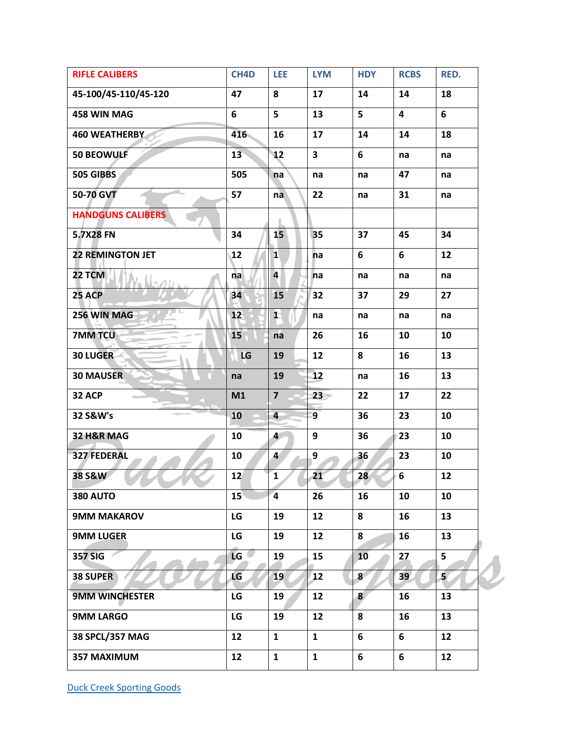| 45-100/45-110/45-120<br>8<br>17<br>14<br>14<br>18<br>47<br>5<br>5<br>$\overline{\mathbf{4}}$<br>6<br>458 WIN MAG<br>6<br>13<br>416<br><b>460 WEATHERBY</b><br>16<br>17<br>14<br>14<br>18<br><b>50 BEOWULF</b><br>13 <sup>°</sup><br>12<br>$\overline{\mathbf{3}}$<br>6<br>na<br>na<br>505 GIBBS<br>505<br>47<br>na<br>na<br>na<br>na<br>50-70 GVT<br>57<br>22<br>31<br>na<br>na<br>na<br><b>HANDGUNS CALIBERS</b><br>5.7X28 FN<br>34<br>34<br>35<br>37<br>45<br>15<br>6<br>6<br>12<br><b>22 REMINGTON JET</b><br>12<br>$\mathbf{1}$<br>na<br>22 TCM<br>$\overline{4}$<br>na<br>na<br>na<br>na<br>na<br>25 ACP<br>34<br>27<br>15<br>32<br>37<br>29<br>256 WIN MAG<br>12<br>$\mathbf{I}$<br>na<br>na<br>na<br>na<br><b>7MM TCU</b><br>15<br>26<br>16<br>10<br>10<br>na<br>LG<br><b>30 LUGER</b><br>8<br>12<br>16<br>13<br>19<br><b>30 MAUSER</b><br>13<br>19<br>12<br>16<br>na<br>na<br>22<br>M1<br>$\overline{7}$<br>$23 -$<br>17<br>32 ACP<br>22<br>$\overline{9}$<br>10<br>32 S&W's<br>$\overline{4}$<br>36<br>23<br>10<br>10<br>9<br>36<br>23<br>10<br>32 H&R MAG<br>$\overline{4}$<br>10<br><b>327 FEDERAL</b><br>10<br>9<br>36<br>23<br>$\overline{\mathbf{A}}$<br>12<br>21<br>28<br>6<br>38 S&W<br>12<br>$\mathbf{1}$<br>$\overline{\mathbf{4}}$<br>15 <sup>7</sup><br>26<br>16<br>10<br>10<br><b>380 AUTO</b><br>LG<br>8<br>16<br>13<br>19<br>12<br><b>9MM MAKAROV</b><br>LG<br>16<br>19<br>12<br>8<br>13<br><b>9MM LUGER</b><br>LG<br><b>357 SIG</b><br>5<br>10<br>19<br>15<br>27<br>LG<br>$\bf{8}$<br>39<br>$\overline{\mathbf{5}}$<br>19<br>38 SUPER<br>12<br><b>9MM WINCHESTER</b><br>LG<br>19<br>8<br>16<br>13<br>12<br>LG<br>8<br>16<br>13<br><b>9MM LARGO</b><br>19<br>12<br>6<br>6<br>12<br>$\mathbf{1}$<br>12<br>38 SPCL/357 MAG<br>$\mathbf{1}$<br>6<br>6<br>12<br>12<br>357 MAXIMUM<br>$\mathbf{1}$<br>$\mathbf{1}$ | <b>RIFLE CALIBERS</b> | CH <sub>4</sub> D | LEE | <b>LYM</b> | <b>HDY</b> | <b>RCBS</b> | RED. |  |
|--------------------------------------------------------------------------------------------------------------------------------------------------------------------------------------------------------------------------------------------------------------------------------------------------------------------------------------------------------------------------------------------------------------------------------------------------------------------------------------------------------------------------------------------------------------------------------------------------------------------------------------------------------------------------------------------------------------------------------------------------------------------------------------------------------------------------------------------------------------------------------------------------------------------------------------------------------------------------------------------------------------------------------------------------------------------------------------------------------------------------------------------------------------------------------------------------------------------------------------------------------------------------------------------------------------------------------------------------------------------------------------------------------------------------------------------------------------------------------------------------------------------------------------------------------------------------------------------------------------------------------------------------------------------------------------------------------------------------------------------------------------------------------------------------------------------------------------|-----------------------|-------------------|-----|------------|------------|-------------|------|--|
|                                                                                                                                                                                                                                                                                                                                                                                                                                                                                                                                                                                                                                                                                                                                                                                                                                                                                                                                                                                                                                                                                                                                                                                                                                                                                                                                                                                                                                                                                                                                                                                                                                                                                                                                                                                                                                      |                       |                   |     |            |            |             |      |  |
|                                                                                                                                                                                                                                                                                                                                                                                                                                                                                                                                                                                                                                                                                                                                                                                                                                                                                                                                                                                                                                                                                                                                                                                                                                                                                                                                                                                                                                                                                                                                                                                                                                                                                                                                                                                                                                      |                       |                   |     |            |            |             |      |  |
|                                                                                                                                                                                                                                                                                                                                                                                                                                                                                                                                                                                                                                                                                                                                                                                                                                                                                                                                                                                                                                                                                                                                                                                                                                                                                                                                                                                                                                                                                                                                                                                                                                                                                                                                                                                                                                      |                       |                   |     |            |            |             |      |  |
|                                                                                                                                                                                                                                                                                                                                                                                                                                                                                                                                                                                                                                                                                                                                                                                                                                                                                                                                                                                                                                                                                                                                                                                                                                                                                                                                                                                                                                                                                                                                                                                                                                                                                                                                                                                                                                      |                       |                   |     |            |            |             |      |  |
|                                                                                                                                                                                                                                                                                                                                                                                                                                                                                                                                                                                                                                                                                                                                                                                                                                                                                                                                                                                                                                                                                                                                                                                                                                                                                                                                                                                                                                                                                                                                                                                                                                                                                                                                                                                                                                      |                       |                   |     |            |            |             |      |  |
|                                                                                                                                                                                                                                                                                                                                                                                                                                                                                                                                                                                                                                                                                                                                                                                                                                                                                                                                                                                                                                                                                                                                                                                                                                                                                                                                                                                                                                                                                                                                                                                                                                                                                                                                                                                                                                      |                       |                   |     |            |            |             |      |  |
|                                                                                                                                                                                                                                                                                                                                                                                                                                                                                                                                                                                                                                                                                                                                                                                                                                                                                                                                                                                                                                                                                                                                                                                                                                                                                                                                                                                                                                                                                                                                                                                                                                                                                                                                                                                                                                      |                       |                   |     |            |            |             |      |  |
|                                                                                                                                                                                                                                                                                                                                                                                                                                                                                                                                                                                                                                                                                                                                                                                                                                                                                                                                                                                                                                                                                                                                                                                                                                                                                                                                                                                                                                                                                                                                                                                                                                                                                                                                                                                                                                      |                       |                   |     |            |            |             |      |  |
|                                                                                                                                                                                                                                                                                                                                                                                                                                                                                                                                                                                                                                                                                                                                                                                                                                                                                                                                                                                                                                                                                                                                                                                                                                                                                                                                                                                                                                                                                                                                                                                                                                                                                                                                                                                                                                      |                       |                   |     |            |            |             |      |  |
|                                                                                                                                                                                                                                                                                                                                                                                                                                                                                                                                                                                                                                                                                                                                                                                                                                                                                                                                                                                                                                                                                                                                                                                                                                                                                                                                                                                                                                                                                                                                                                                                                                                                                                                                                                                                                                      |                       |                   |     |            |            |             |      |  |
|                                                                                                                                                                                                                                                                                                                                                                                                                                                                                                                                                                                                                                                                                                                                                                                                                                                                                                                                                                                                                                                                                                                                                                                                                                                                                                                                                                                                                                                                                                                                                                                                                                                                                                                                                                                                                                      |                       |                   |     |            |            |             |      |  |
|                                                                                                                                                                                                                                                                                                                                                                                                                                                                                                                                                                                                                                                                                                                                                                                                                                                                                                                                                                                                                                                                                                                                                                                                                                                                                                                                                                                                                                                                                                                                                                                                                                                                                                                                                                                                                                      |                       |                   |     |            |            |             |      |  |
|                                                                                                                                                                                                                                                                                                                                                                                                                                                                                                                                                                                                                                                                                                                                                                                                                                                                                                                                                                                                                                                                                                                                                                                                                                                                                                                                                                                                                                                                                                                                                                                                                                                                                                                                                                                                                                      |                       |                   |     |            |            |             |      |  |
|                                                                                                                                                                                                                                                                                                                                                                                                                                                                                                                                                                                                                                                                                                                                                                                                                                                                                                                                                                                                                                                                                                                                                                                                                                                                                                                                                                                                                                                                                                                                                                                                                                                                                                                                                                                                                                      |                       |                   |     |            |            |             |      |  |
|                                                                                                                                                                                                                                                                                                                                                                                                                                                                                                                                                                                                                                                                                                                                                                                                                                                                                                                                                                                                                                                                                                                                                                                                                                                                                                                                                                                                                                                                                                                                                                                                                                                                                                                                                                                                                                      |                       |                   |     |            |            |             |      |  |
|                                                                                                                                                                                                                                                                                                                                                                                                                                                                                                                                                                                                                                                                                                                                                                                                                                                                                                                                                                                                                                                                                                                                                                                                                                                                                                                                                                                                                                                                                                                                                                                                                                                                                                                                                                                                                                      |                       |                   |     |            |            |             |      |  |
|                                                                                                                                                                                                                                                                                                                                                                                                                                                                                                                                                                                                                                                                                                                                                                                                                                                                                                                                                                                                                                                                                                                                                                                                                                                                                                                                                                                                                                                                                                                                                                                                                                                                                                                                                                                                                                      |                       |                   |     |            |            |             |      |  |
|                                                                                                                                                                                                                                                                                                                                                                                                                                                                                                                                                                                                                                                                                                                                                                                                                                                                                                                                                                                                                                                                                                                                                                                                                                                                                                                                                                                                                                                                                                                                                                                                                                                                                                                                                                                                                                      |                       |                   |     |            |            |             |      |  |
|                                                                                                                                                                                                                                                                                                                                                                                                                                                                                                                                                                                                                                                                                                                                                                                                                                                                                                                                                                                                                                                                                                                                                                                                                                                                                                                                                                                                                                                                                                                                                                                                                                                                                                                                                                                                                                      |                       |                   |     |            |            |             |      |  |
|                                                                                                                                                                                                                                                                                                                                                                                                                                                                                                                                                                                                                                                                                                                                                                                                                                                                                                                                                                                                                                                                                                                                                                                                                                                                                                                                                                                                                                                                                                                                                                                                                                                                                                                                                                                                                                      |                       |                   |     |            |            |             |      |  |
|                                                                                                                                                                                                                                                                                                                                                                                                                                                                                                                                                                                                                                                                                                                                                                                                                                                                                                                                                                                                                                                                                                                                                                                                                                                                                                                                                                                                                                                                                                                                                                                                                                                                                                                                                                                                                                      |                       |                   |     |            |            |             |      |  |
|                                                                                                                                                                                                                                                                                                                                                                                                                                                                                                                                                                                                                                                                                                                                                                                                                                                                                                                                                                                                                                                                                                                                                                                                                                                                                                                                                                                                                                                                                                                                                                                                                                                                                                                                                                                                                                      |                       |                   |     |            |            |             |      |  |
|                                                                                                                                                                                                                                                                                                                                                                                                                                                                                                                                                                                                                                                                                                                                                                                                                                                                                                                                                                                                                                                                                                                                                                                                                                                                                                                                                                                                                                                                                                                                                                                                                                                                                                                                                                                                                                      |                       |                   |     |            |            |             |      |  |
|                                                                                                                                                                                                                                                                                                                                                                                                                                                                                                                                                                                                                                                                                                                                                                                                                                                                                                                                                                                                                                                                                                                                                                                                                                                                                                                                                                                                                                                                                                                                                                                                                                                                                                                                                                                                                                      |                       |                   |     |            |            |             |      |  |
|                                                                                                                                                                                                                                                                                                                                                                                                                                                                                                                                                                                                                                                                                                                                                                                                                                                                                                                                                                                                                                                                                                                                                                                                                                                                                                                                                                                                                                                                                                                                                                                                                                                                                                                                                                                                                                      |                       |                   |     |            |            |             |      |  |
|                                                                                                                                                                                                                                                                                                                                                                                                                                                                                                                                                                                                                                                                                                                                                                                                                                                                                                                                                                                                                                                                                                                                                                                                                                                                                                                                                                                                                                                                                                                                                                                                                                                                                                                                                                                                                                      |                       |                   |     |            |            |             |      |  |
|                                                                                                                                                                                                                                                                                                                                                                                                                                                                                                                                                                                                                                                                                                                                                                                                                                                                                                                                                                                                                                                                                                                                                                                                                                                                                                                                                                                                                                                                                                                                                                                                                                                                                                                                                                                                                                      |                       |                   |     |            |            |             |      |  |
|                                                                                                                                                                                                                                                                                                                                                                                                                                                                                                                                                                                                                                                                                                                                                                                                                                                                                                                                                                                                                                                                                                                                                                                                                                                                                                                                                                                                                                                                                                                                                                                                                                                                                                                                                                                                                                      |                       |                   |     |            |            |             |      |  |
|                                                                                                                                                                                                                                                                                                                                                                                                                                                                                                                                                                                                                                                                                                                                                                                                                                                                                                                                                                                                                                                                                                                                                                                                                                                                                                                                                                                                                                                                                                                                                                                                                                                                                                                                                                                                                                      |                       |                   |     |            |            |             |      |  |